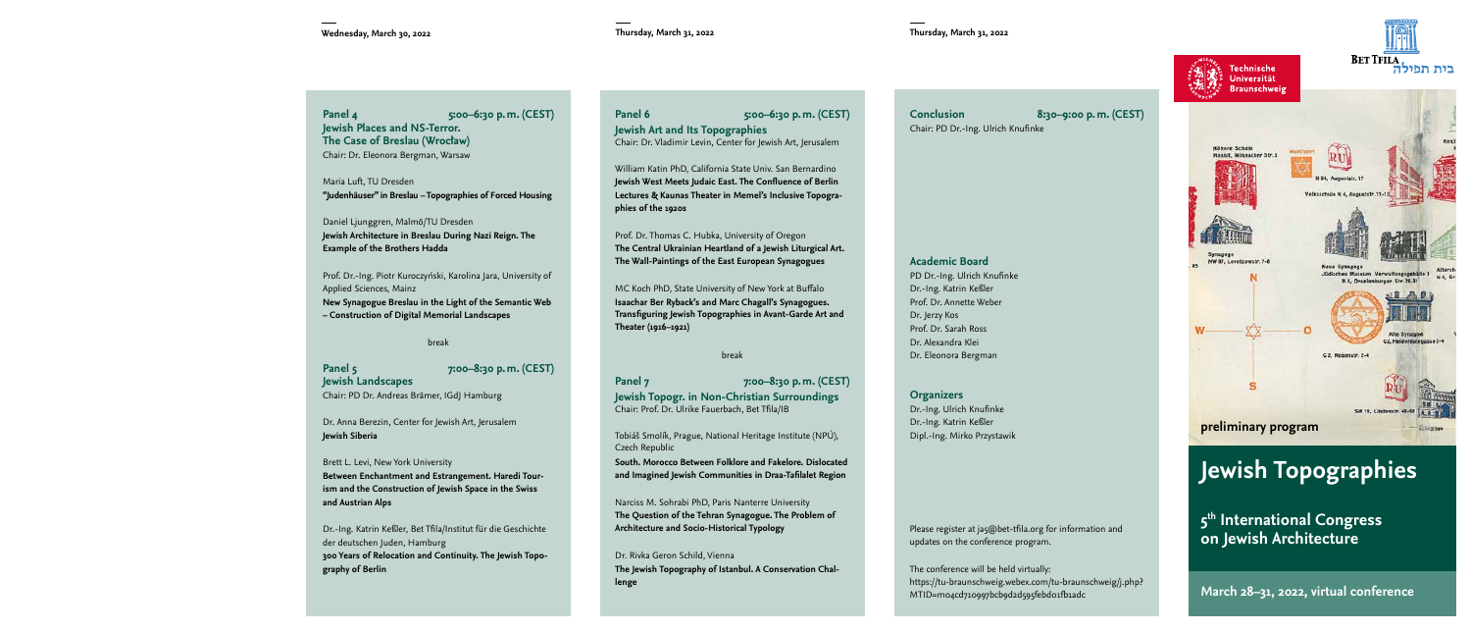Technische Universität **Braunschweig** 



**Panel 4 5:00–6:30 p.m. (CEST) Jewish Places and NS-Terror. The Case of Breslau (Wrocław)** Chair: Dr. Eleonora Bergman, Warsaw

Maria Luft, TU Dresden **"Judenhäuser" in Breslau – Topographies of Forced Housing**

Daniel Ljunggren, Malmö/TU Dresden **Jewish Architecture in Breslau During Nazi Reign. The Example of the Brothers Hadda**

Prof. Dr.-Ing. Piotr Kuroczyński, Karolina Jara, University of Applied Sciences, Mainz **New Synagogue Breslau in the Light of the Semantic Web – Construction of Digital Memorial Landscapes**

### break

**Panel 5 7:00–8:30 p.m. (CEST) Jewish Landscapes** Chair: PD Dr. Andreas Brämer, IGdJ Hamburg

Dr. Anna Berezin, Center for Jewish Art, Jerusalem **Jewish Siberia**

Brett L. Levi, New York University **Between Enchantment and Estrangement. Haredi Tourism and the Construction of Jewish Space in the Swiss and Austrian Alps**

Dr.-Ing. Katrin Keßler, Bet Tfila/Institut für die Geschichte der deutschen Juden, Hamburg **300 Years of Relocation and Continuity. The Jewish Topography of Berlin**

## **Panel 6 5:00–6:30 p.m. (CEST) Jewish Art and Its Topographies** Chair: Dr. Vladimir Levin, Center for Jewish Art, Jerusalem

William Katin PhD, California State Univ. San Bernardino **Jewish West Meets Judaic East. The Confluence of Berlin Lectures & Kaunas Theater in Memel's Inclusive Topographies of the 1920s**

Prof. Dr. Thomas C. Hubka, University of Oregon **The Central Ukrainian Heartland of a Jewish Liturgical Art. The Wall-Paintings of the East European Synagogues**

MC Koch PhD, State University of New York at Buffalo **Isaachar Ber Ryback's and Marc Chagall's Synagogues. Transfiguring Jewish Topographies in Avant-Garde Art and Theater (1916–1921)**

break

**Panel 7 7:00–8:30 p.m. (CEST) Jewish Topogr. in Non-Christian Surroundings** Chair: Prof. Dr. Ulrike Fauerbach, Bet Tfila/IB

Tobiáš Smolík, Prague, National Heritage Institute (NPÚ), Czech Republic

**South. Morocco Between Folklore and Fakelore. Dislocated and Imagined Jewish Communities in Draa-Tafilalet Region**

Narciss M. Sohrabi PhD, Paris Nanterre University **The Question of the Tehran Synagogue. The Problem of Architecture and Socio-Historical Typology**

Dr. Rivka Geron Schild, Vienna **The Jewish Topography of Istanbul. A Conservation Challenge**

**Conclusion 8:30–9:00 p.m. (CEST)**  Chair: PD Dr.-Ing. Ulrich Knufinke



PD Dr.-Ing. Ulrich Knufinke Dr.-Ing. Katrin Keßler Prof. Dr. Annette Weber Dr. Jerzy Kos Prof. Dr. Sarah Ross Dr. Alexandra Klei Dr. Eleonora Bergman

### **Organizers**

Dr.-Ing. Ulrich Knufinke Dr.-Ing. Katrin Keßler Dipl.-Ing. Mirko Przystawik

Please register at ja5@bet-tfila.org for information and updates on the conference program.

The conference will be held virtually: https://tu-braunschweig.webex.com/tu-braunschweig/j.php? MTID=m04cd710997bcb9d2d595febd01fb1adc



# **Jewish Topographies**

**5th International Congress on Jewish Architecture**

**March 28–31, 2022, virtual conference**